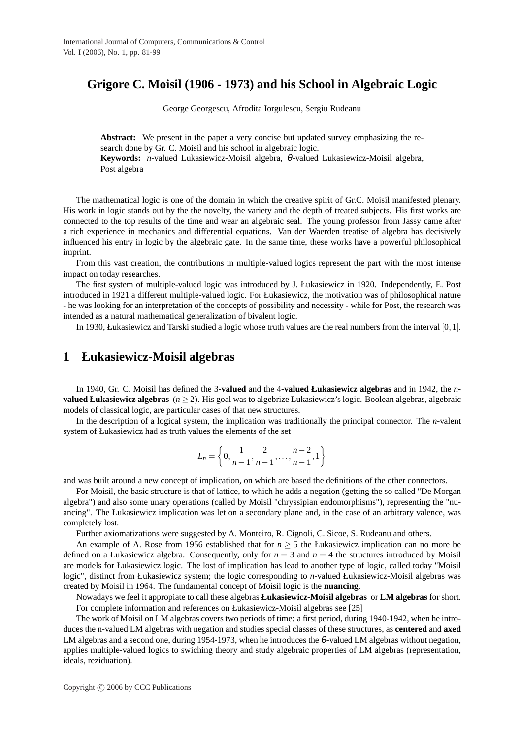# **Grigore C. Moisil (1906 - 1973) and his School in Algebraic Logic**

George Georgescu, Afrodita Iorgulescu, Sergiu Rudeanu

**Abstract:** We present in the paper a very concise but updated survey emphasizing the research done by Gr. C. Moisil and his school in algebraic logic. **Keywords:** *n*-valued Lukasiewicz-Moisil algebra, θ-valued Lukasiewicz-Moisil algebra, Post algebra

The mathematical logic is one of the domain in which the creative spirit of Gr.C. Moisil manifested plenary. His work in logic stands out by the the novelty, the variety and the depth of treated subjects. His first works are connected to the top results of the time and wear an algebraic seal. The young professor from Jassy came after a rich experience in mechanics and differential equations. Van der Waerden treatise of algebra has decisively influenced his entry in logic by the algebraic gate. In the same time, these works have a powerful philosophical imprint.

From this vast creation, the contributions in multiple-valued logics represent the part with the most intense impact on today researches.

The first system of multiple-valued logic was introduced by J. Łukasiewicz in 1920. Independently, E. Post introduced in 1921 a different multiple-valued logic. For Łukasiewicz, the motivation was of philosophical nature - he was looking for an interpretation of the concepts of possibility and necessity - while for Post, the research was intended as a natural mathematical generalization of bivalent logic.

In 1930, Łukasiewicz and Tarski studied a logic whose truth values are the real numbers from the interval [0,1].

## **1 Łukasiewicz-Moisil algebras**

In 1940, Gr. C. Moisil has defined the 3**-valued** and the 4**-valued Łukasiewicz algebras** and in 1942, the *n***valued Łukasiewicz algebras** (*n* ≥ 2). His goal was to algebrize Łukasiewicz's logic. Boolean algebras, algebraic models of classical logic, are particular cases of that new structures.

In the description of a logical system, the implication was traditionally the principal connector. The *n*-valent system of Łukasiewicz had as truth values the elements of the set

$$
L_n = \left\{0, \frac{1}{n-1}, \frac{2}{n-1}, \dots, \frac{n-2}{n-1}, 1\right\}
$$

and was built around a new concept of implication, on which are based the definitions of the other connectors.

For Moisil, the basic structure is that of lattice, to which he adds a negation (getting the so called "De Morgan algebra") and also some unary operations (called by Moisil "chryssipian endomorphisms"), representing the "nuancing". The Łukasiewicz implication was let on a secondary plane and, in the case of an arbitrary valence, was completely lost.

Further axiomatizations were suggested by A. Monteiro, R. Cignoli, C. Sicoe, S. Rudeanu and others.

An example of A. Rose from 1956 established that for  $n \geq 5$  the Łukasiewicz implication can no more be defined on a Łukasiewicz algebra. Consequently, only for  $n = 3$  and  $n = 4$  the structures introduced by Moisil are models for Łukasiewicz logic. The lost of implication has lead to another type of logic, called today "Moisil logic", distinct from Łukasiewicz system; the logic corresponding to *n*-valued Łukasiewicz-Moisil algebras was created by Moisil in 1964. The fundamental concept of Moisil logic is the **nuancing**.

Nowadays we feel it appropiate to call these algebras **Łukasiewicz-Moisil algebras** or **LM algebras** for short. For complete information and references on Łukasiewicz-Moisil algebras see [25]

The work of Moisil on LM algebras covers two periods of time: a first period, during 1940-1942, when he introduces the n-valued LM algebras with negation and studies special classes of these structures, as **centered** and **axed** LM algebras and a second one, during 1954-1973, when he introduces the  $\theta$ -valued LM algebras without negation, applies multiple-valued logics to swiching theory and study algebraic properties of LM algebras (representation, ideals, reziduation).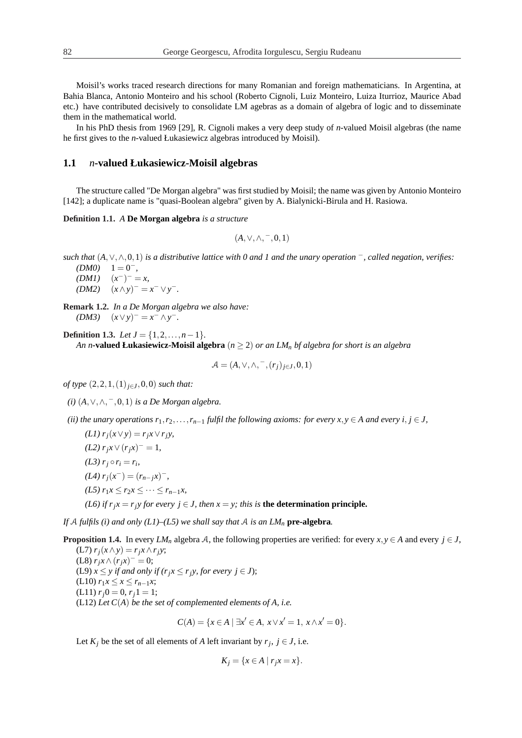Moisil's works traced research directions for many Romanian and foreign mathematicians. In Argentina, at Bahia Blanca, Antonio Monteiro and his school (Roberto Cignoli, Luiz Monteiro, Luiza Iturrioz, Maurice Abad etc.) have contributed decisively to consolidate LM agebras as a domain of algebra of logic and to disseminate them in the mathematical world.

In his PhD thesis from 1969 [29], R. Cignoli makes a very deep study of *n*-valued Moisil algebras (the name he first gives to the *n*-valued Łukasiewicz algebras introduced by Moisil).

#### **1.1** *n***-valued Łukasiewicz-Moisil algebras**

The structure called "De Morgan algebra" was first studied by Moisil; the name was given by Antonio Monteiro [142]; a duplicate name is "quasi-Boolean algebra" given by A. Bialynicki-Birula and H. Rasiowa.

**Definition 1.1.** *A* **De Morgan algebra** *is a structure*

$$
(A,\vee,\wedge,-,0,1)
$$

- *such that* (*A*,∨,∧,0,1) *is a distributive lattice with 0 and 1 and the unary operation* <sup>−</sup>*, called negation, verifies:*
	- $(DMO) \quad 1 = 0^-$
	- $(DM1)$   $(x^-)^{-} = x,$
	- $(DM2)$   $(x \wedge y)^{-} = x^{-} \vee y^{-}$ .
- **Remark 1.2.** *In a De Morgan algebra we also have:*  $(DM3)$   $(x \vee y)^{-} = x^{-} \wedge y^{-}$ .

**Definition 1.3.** *Let*  $J = \{1, 2, ..., n-1\}$ *. An n***-valued Łukasiewicz-Moisil algebra**  $(n \geq 2)$  *or an LM*<sub>*n*</sub> *bf algebra for short is an algebra* 

$$
\mathcal{A} = (A, \vee, \wedge, \overline{\phantom{a}}, (r_j)_{j \in J}, 0, 1)
$$

*of type*  $(2, 2, 1, (1)$ <sub>*j*∈*J*</sub>,0,0) *such that:* 

*(i)* (*A*,∨,∧, <sup>−</sup>,0,1) *is a De Morgan algebra.*

*(ii) the unary operations*  $r_1, r_2, \ldots, r_{n-1}$  *fulfil the following axioms: for every*  $x, y \in A$  *and every i, j*  $\in$  *J*,

 $(L1)$   $r_i(x \vee y) = r_i x \vee r_i y$ , *(L2)*  $r_j x \lor (r_j x)^{-} = 1$ , *(L3)*  $r_j \circ r_i = r_i$ ,  $(L4)$   $r_j(x^-) = (r_{n-j}x)^-,$ *(L5)*  $r_1 x \leq r_2 x \leq \cdots \leq r_{n-1} x$ , *(L6) if*  $r_i x = r_i y$  *for every*  $i \in J$ *, then*  $x = y$ *; this is* **the determination principle.** 

*If* A *fulfils* (*i*) and only ( $LI$ )–( $L5$ ) we shall say that A is an  $LM_n$  pre-algebra.

**Proposition 1.4.** In every *LM<sub>n</sub>* algebra A, the following properties are verified: for every  $x, y \in A$  and every  $j \in J$ ,  $(L7)$   $r_j(x \wedge y) = r_jx \wedge r_jy;$ 

(L8)  $r_j x \wedge (r_j x)^{-} = 0;$ (L9)  $x \leq y$  *if and only if*  $(r_i x \leq r_i y$ , for every  $i \in J$ ); (L10) *r*1*x* ≤ *x* ≤ *rn*−1*x*;  $(L11)$   $r_i0 = 0, r_i1 = 1;$ (L12) *Let C*(*A*) *be the set of* complemented elements *of A, i.e.*

$$
C(A) = \{ x \in A \mid \exists x' \in A, x \lor x' = 1, x \land x' = 0 \}.
$$

Let  $K_j$  be the set of all elements of *A* left invariant by  $r_j$ ,  $j \in J$ , i.e.

$$
K_j = \{x \in A \mid r_j x = x\}.
$$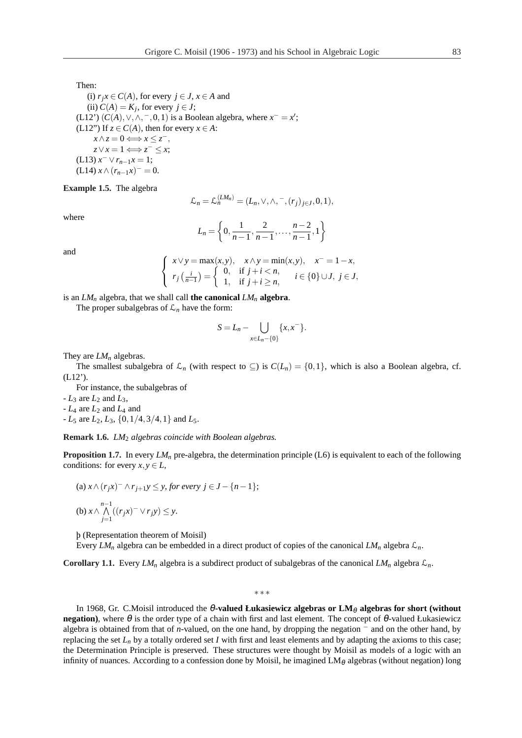Then:

(i)  $r_j x \in C(A)$ , for every  $j \in J$ ,  $x \in A$  and (ii)  $C(A) = K_j$ , for every  $j \in J$ ; (L12')  $(C(A), \vee, \wedge, \neg, 0, 1)$  is a Boolean algebra, where  $x^- = x'$ ; (L12") If  $z \in C(A)$ , then for every  $x \in A$ :  $x \wedge z = 0 \Longleftrightarrow x \leq z^{-}$ ,  $z \vee x = 1 \Longleftrightarrow z^{-} \leq x;$  $(L13) x^- \vee r_{n-1}x = 1;$  $(L14)$  *x*  $\wedge$   $(r_{n-1}x)^{-} = 0.$ 

**Example 1.5.** The algebra

$$
\mathcal{L}_n = \mathcal{L}_n^{(LM_n)} = (L_n, \vee, \wedge, \neg, (r_j)_{j \in J}, 0, 1),
$$

where

$$
L_n = \left\{0, \frac{1}{n-1}, \frac{2}{n-1}, \dots, \frac{n-2}{n-1}, 1\right\}
$$

and

$$
\begin{cases}\nx \vee y = \max(x, y), & x \wedge y = \min(x, y), & x^- = 1 - x, \\
r_j\left(\frac{i}{n-1}\right) = \begin{cases}\n0, & \text{if } j + i < n, \\
1, & \text{if } j + i \geq n,\n\end{cases} \quad i \in \{0\} \cup J, \ j \in J,\n\end{cases}
$$

is an  $LM_n$  algebra, that we shall call the canonical  $LM_n$  algebra.

The proper subalgebras of  $\mathcal{L}_n$  have the form:

$$
S = L_n - \bigcup_{x \in L_n - \{0\}} \{x, x^-\}.
$$

They are *LM<sup>n</sup>* algebras.

The smallest subalgebra of  $\mathcal{L}_n$  (with respect to  $\subseteq$ ) is  $C(L_n) = \{0,1\}$ , which is also a Boolean algebra, cf. (L12').

For instance, the subalgebras of

 $-L_3$  are  $L_2$  and  $L_3$ ,

 $-L_4$  are  $L_2$  and  $L_4$  and

 $-L_5$  are  $L_2$ ,  $L_3$ ,  $\{0, 1/4, 3/4, 1\}$  and  $L_5$ .

**Remark 1.6.** *LM*<sup>2</sup> *algebras coincide with Boolean algebras.*

**Proposition 1.7.** In every  $LM_n$  pre-algebra, the determination principle (L6) is equivalent to each of the following conditions: for every  $x, y \in L$ ,

(a) 
$$
x \wedge (r_j x)^{-} \wedge r_{j+1} y \leq y
$$
, for every  $j \in J - \{n-1\}$ ;  
(b)  $x \wedge \bigwedge_{j=1}^{n-1} ((r_j x)^{-} \vee r_j y) \leq y$ .

þ (Representation theorem of Moisil)

Every *LM<sup>n</sup>* algebra can be embedded in a direct product of copies of the canonical *LM<sup>n</sup>* algebra L*n*.

**Corollary 1.1.** Every *LM*<sub>*n*</sub> algebra is a subdirect product of subalgebras of the canonical *LM*<sub>*n*</sub> algebra  $\mathcal{L}_n$ .

∗ ∗ ∗

In 1968, Gr. C.Moisil introduced the θ-valued **Łukasiewicz algebras or LM**θ **algebras for short (without negation**), where  $\theta$  is the order type of a chain with first and last element. The concept of  $\theta$ -valued Łukasiewicz algebra is obtained from that of *n*-valued, on the one hand, by dropping the negation <sup>−</sup> and on the other hand, by replacing the set  $L_n$  by a totally ordered set *I* with first and least elements and by adapting the axioms to this case; the Determination Principle is preserved. These structures were thought by Moisil as models of a logic with an infinity of nuances. According to a confession done by Moisil, he imagined  $LM_\theta$  algebras (without negation) long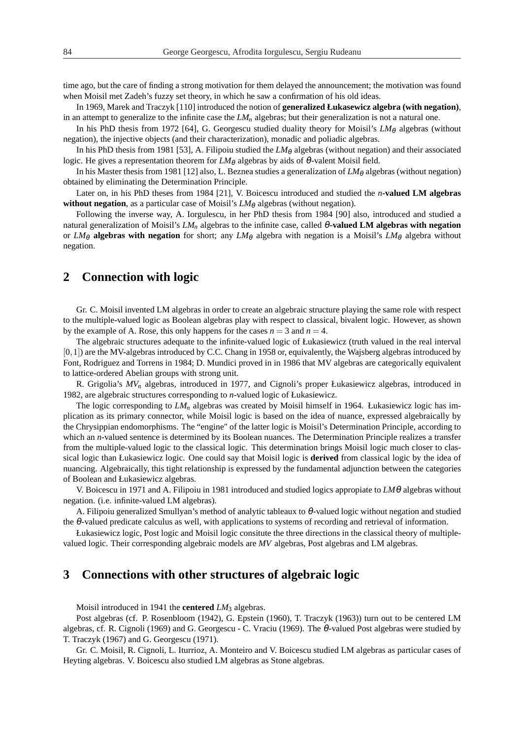time ago, but the care of finding a strong motivation for them delayed the announcement; the motivation was found when Moisil met Zadeh's fuzzy set theory, in which he saw a confirmation of his old ideas.

In 1969, Marek and Traczyk [110] introduced the notion of **generalized Łukasewicz algebra (with negation)**, in an attempt to generalize to the infinite case the *LM<sup>n</sup>* algebras; but their generalization is not a natural one.

In his PhD thesis from 1972 [64], G. Georgescu studied duality theory for Moisil's *LM*θ algebras (without negation), the injective objects (and their characterization), monadic and poliadic algebras.

In his PhD thesis from 1981 [53], A. Filipoiu studied the  $LM_{\theta}$  algebras (without negation) and their associated logic. He gives a representation theorem for  $LM_{\theta}$  algebras by aids of  $\theta$ -valent Moisil field.

In his Master thesis from 1981 [12] also, L. Beznea studies a generalization of  $LM_\theta$  algebras (without negation) obtained by eliminating the Determination Principle.

Later on, in his PhD theses from 1984 [21], V. Boicescu introduced and studied the *n***-valued LM algebras without negation**, as a particular case of Moisil's  $LM_{\theta}$  algebras (without negation).

Following the inverse way, A. Iorgulescu, in her PhD thesis from 1984 [90] also, introduced and studied a natural generalization of Moisil's *LM<sup>n</sup>* algebras to the infinite case, called <sup>θ</sup>**-valued LM algebras with negation** or  $LM_{\theta}$  **algebras with negation** for short; any  $LM_{\theta}$  algebra with negation is a Moisil's  $LM_{\theta}$  algebra without negation.

## **2 Connection with logic**

Gr. C. Moisil invented LM algebras in order to create an algebraic structure playing the same role with respect to the multiple-valued logic as Boolean algebras play with respect to classical, bivalent logic. However, as shown by the example of A. Rose, this only happens for the cases  $n = 3$  and  $n = 4$ .

The algebraic structures adequate to the infinite-valued logic of Łukasiewicz (truth valued in the real interval [0,1]) are the MV-algebras introduced by C.C. Chang in 1958 or, equivalently, the Wajsberg algebras introduced by Font, Rodriguez and Torrens in 1984; D. Mundici proved in in 1986 that MV algebras are categorically equivalent to lattice-ordered Abelian groups with strong unit.

R. Grigolia's *MV<sup>n</sup>* algebras, introduced in 1977, and Cignoli's proper Łukasiewicz algebras, introduced in 1982, are algebraic structures corresponding to *n*-valued logic of Łukasiewicz.

The logic corresponding to *LM<sup>n</sup>* algebras was created by Moisil himself in 1964. Łukasiewicz logic has implication as its primary connector, while Moisil logic is based on the idea of nuance, expressed algebraically by the Chrysippian endomorphisms. The "engine" of the latter logic is Moisil's Determination Principle, according to which an *n*-valued sentence is determined by its Boolean nuances. The Determination Principle realizes a transfer from the multiple-valued logic to the classical logic. This determination brings Moisil logic much closer to classical logic than Łukasiewicz logic. One could say that Moisil logic is **derived** from classical logic by the idea of nuancing. Algebraically, this tight relationship is expressed by the fundamental adjunction between the categories of Boolean and Łukasiewicz algebras.

V. Boicescu in 1971 and A. Filipoiu in 1981 introduced and studied logics appropiate to *LM*θ algebras without negation. (i.e. infinite-valued LM algebras).

A. Filipoiu generalized Smullyan's method of analytic tableaux to  $\theta$ -valued logic without negation and studied the θ-valued predicate calculus as well, with applications to systems of recording and retrieval of information.

Łukasiewicz logic, Post logic and Moisil logic consitute the three directions in the classical theory of multiplevalued logic. Their corresponding algebraic models are *MV* algebras, Post algebras and LM algebras.

## **3 Connections with other structures of algebraic logic**

Moisil introduced in 1941 the **centered** *LM*<sup>3</sup> algebras.

Post algebras (cf. P. Rosenbloom (1942), G. Epstein (1960), T. Traczyk (1963)) turn out to be centered LM algebras, cf. R. Cignoli (1969) and G. Georgescu - C. Vraciu (1969). The θ-valued Post algebras were studied by T. Traczyk (1967) and G. Georgescu (1971).

Gr. C. Moisil, R. Cignoli, L. Iturrioz, A. Monteiro and V. Boicescu studied LM algebras as particular cases of Heyting algebras. V. Boicescu also studied LM algebras as Stone algebras.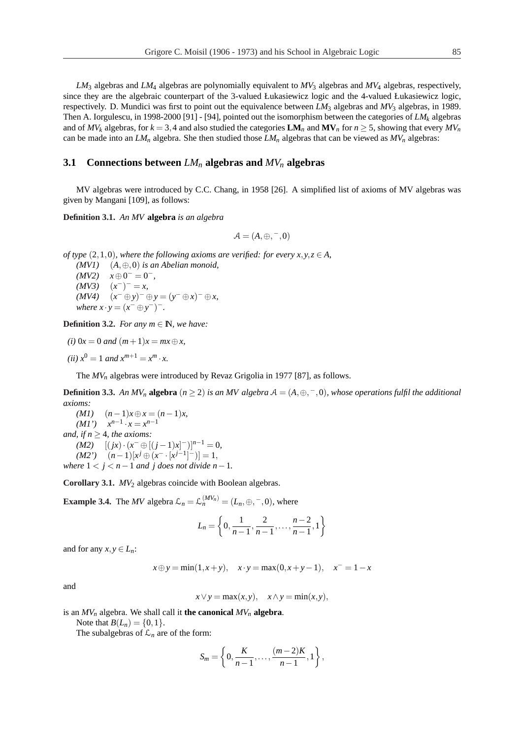*LM*<sup>3</sup> algebras and *LM*<sup>4</sup> algebras are polynomially equivalent to *MV*<sup>3</sup> algebras and *MV*<sup>4</sup> algebras, respectively, since they are the algebraic counterpart of the 3-valued Łukasiewicz logic and the 4-valued Łukasiewicz logic, respectively. D. Mundici was first to point out the equivalence between *LM*<sup>3</sup> algebras and *MV*<sup>3</sup> algebras, in 1989. Then A. Iorgulescu, in 1998-2000 [91] - [94], pointed out the isomorphism between the categories of *LM<sup>k</sup>* algebras and of  $MV_k$  algebras, for  $k = 3,4$  and also studied the categories  $LM_n$  and  $MV_n$  for  $n \ge 5$ , showing that every  $MV_n$ can be made into an  $LM_n$  algebra. She then studied those  $LM_n$  algebras that can be viewed as  $MV_n$  algebras:

#### **3.1 Connections between** *LM<sup>n</sup>* **algebras and** *MV<sup>n</sup>* **algebras**

MV algebras were introduced by C.C. Chang, in 1958 [26]. A simplified list of axioms of MV algebras was given by Mangani [109], as follows:

**Definition 3.1.** *An MV* **algebra** *is an algebra*

$$
\mathcal{A}=(A,\oplus,{}^-,0)
$$

*of type*  $(2,1,0)$ *, where the following axioms are verified: for every*  $x, y, z \in A$ *,* 

*(MV1)* (*A*,⊕,0) *is an Abelian monoid,*  $(MV2)$   $x \oplus 0^- = 0^-,$  $(MV3)$   $(x^-)^{-} = x$ ,  $(WV4)$   $(x^{-} \oplus y)^{-} \oplus y = (y^{-} \oplus x)^{-} \oplus x$ , *where*  $x \cdot y = (x^- \oplus y^-)^{-}$ .

**Definition 3.2.** *For any*  $m \in \mathbb{N}$ *, we have:* 

*(i)* 0*x* = 0 *and*  $(m+1)x = mx ⊕ x$ ,

 $(iii)$   $x^0 = 1$  *and*  $x^{m+1} = x^m \cdot x$ .

The  $MV_n$  algebras were introduced by Revaz Grigolia in 1977 [87], as follows.

**Definition 3.3.** An  $MV_n$  **algebra**  $(n \geq 2)$  *is an MV algebra*  $A = (A, \oplus, \neg, 0)$ *, whose operations fulfil the additional axioms:*

*(M1)* (*n*−1)*x*⊕*x* = (*n*−1)*x,*  $(M1')$   $x^{n-1} \cdot x = x^{n-1}$ *and, if*  $n \geq 4$ *, the axioms:*  $(M2)$   $[(jx) \cdot (x^- \oplus [(j-1)x]^{-})]^{n-1} = 0,$  $(M2')$   $(n-1)[x^j \oplus (x^- \cdot [x^{j-1}]^-)] = 1,$ *where*  $1 < i < n-1$  *and j does not divide*  $n-1$ *.* 

**Corollary 3.1.** *MV*<sub>2</sub> algebras coincide with Boolean algebras.

**Example 3.4.** The *MV* algebra  $\mathcal{L}_n = \mathcal{L}_n^{(MV_n)} = (L_n, \oplus, \neg, 0)$ , where

$$
L_n = \left\{0, \frac{1}{n-1}, \frac{2}{n-1}, \ldots, \frac{n-2}{n-1}, 1\right\}
$$

and for any  $x, y \in L_n$ :

 $x \oplus y = \min(1, x + y), \quad x \cdot y = \max(0, x + y - 1), \quad x^{-} = 1 - x$ 

and

 $x \lor y = \max(x, y), \quad x \land y = \min(x, y),$ 

is an  $MV_n$  algebra. We shall call it **the canonical**  $MV_n$  **algebra**.

Note that  $B(L_n) = \{0, 1\}.$ 

The subalgebras of  $\mathcal{L}_n$  are of the form:

$$
S_m = \left\{0, \frac{K}{n-1}, \ldots, \frac{(m-2)K}{n-1}, 1\right\},\,
$$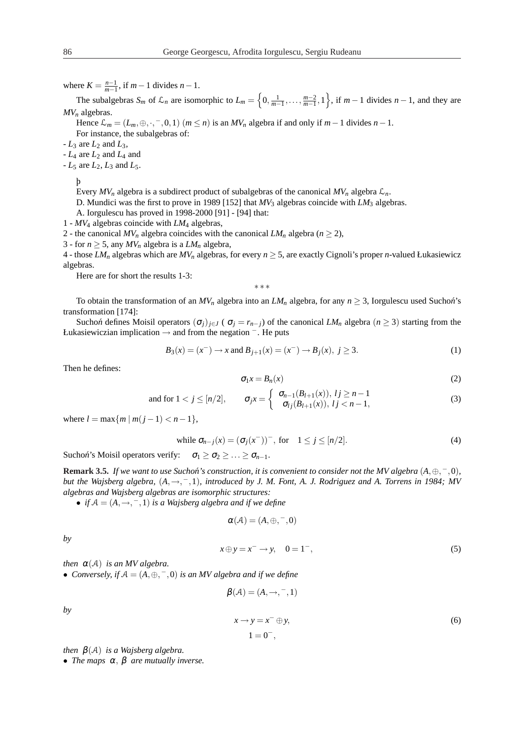where  $K = \frac{n-1}{m-1}$ , if  $m-1$  divides  $n-1$ .

The subalgebras  $S_m$  of  $\mathcal{L}_n$  are isomorphic to  $L_m =$ n  $0, \frac{1}{m-1}, \ldots, \frac{m-2}{m-1}, 1$ o , if  $m-1$  divides  $n-1$ , and they are *MV<sup>n</sup>* algebras.

Hence  $\mathcal{L}_m = (L_m, \oplus, \cdot, -, 0, 1)$   $(m \le n)$  is an  $MV_n$  algebra if and only if  $m-1$  divides  $n-1$ .

For instance, the subalgebras of:

 $-L_3$  are  $L_2$  and  $L_3$ ,

 $-L_4$  are  $L_2$  and  $L_4$  and

 $-L_5$  are  $L_2$ ,  $L_3$  and  $L_5$ .

þ

Every  $MV_n$  algebra is a subdirect product of subalgebras of the canonical  $MV_n$  algebra  $\mathcal{L}_n$ .

D. Mundici was the first to prove in 1989 [152] that  $MV_3$  algebras coincide with  $LM_3$  algebras.

A. Iorgulescu has proved in 1998-2000 [91] - [94] that:

1 - *MV*<sup>4</sup> algebras coincide with *LM*<sup>4</sup> algebras,

2 - the canonical  $MV_n$  algebra coincides with the canonical  $LM_n$  algebra ( $n \ge 2$ ),

3 - for  $n \ge 5$ , any  $MV_n$  algebra is a  $LM_n$  algebra,

4 - those  $LM_n$  algebras which are  $MV_n$  algebras, for every  $n \geq 5$ , are exactly Cignoli's proper *n*-valued Łukasiewicz algebras.

Here are for short the results 1-3:

∗ ∗ ∗

To obtain the transformation of an  $MV_n$  algebra into an  $LM_n$  algebra, for any  $n \geq 3$ , Iorgulescu used Suchon's transformation [174]:

Sucho*n*<sup> $\alpha$ </sup> defines Moisil operators  $(\sigma_i)_{i \in J}$  ( $\sigma_i = r_{n-j}$ ) of the canonical *LM<sub>n</sub>* algebra  $(n \geq 3)$  starting from the Łukasiewiczian implication → and from the negation <sup>−</sup>. He puts

$$
B_3(x) = (x^-) \to x
$$
 and  $B_{j+1}(x) = (x^-) \to B_j(x), j \ge 3.$  (1)

Then he defines:

$$
\sigma_1 x = B_n(x) \tag{2}
$$

and for 
$$
1 < j \le [n/2]
$$
,  $\sigma_{j}x = \begin{cases} \sigma_{n-1}(B_{l+1}(x)), & l j \ge n-1 \\ \sigma_{l j}(B_{l+1}(x)), & l j < n-1, \end{cases}$  (3)

where  $l = \max\{m \mid m(j-1) < n-1\},$ 

while 
$$
\sigma_{n-j}(x) = (\sigma_j(x^-))^-,
$$
 for  $1 \le j \le [n/2].$  (4)

Sucho*n*<sup>'</sup>s Moisil operators verify:  $\sigma_1 \geq \sigma_2 \geq \ldots \geq \sigma_{n-1}$ .

**Remark 3.5.** *If we want to use Suchon<sup>'</sup>s construction, it is convenient to consider not the MV algebra*  $(A, \oplus, \overline{\phantom{a}}, 0)$ *, but the Wajsberg algebra,* (*A*,→, <sup>−</sup>,1)*, introduced by J. M. Font, A. J. Rodriguez and A. Torrens in 1984; MV algebras and Wajsberg algebras are isomorphic structures:*

• *if*  $A = (A, \rightarrow, ^- , 1)$  *is a Wajsberg algebra and if we define* 

$$
\alpha(\mathcal{A})=(A,\oplus,-,0)
$$

*by*

$$
x \oplus y = x^- \to y, \quad 0 = 1^-, \tag{5}
$$

*then*  $\alpha(A)$  *is an MV algebra.* 

• *Conversely, if*  $A = (A, \oplus, \neg, 0)$  *is an MV algebra and if we define* 

$$
\beta(\mathcal{A}) = (A, \rightarrow, ^- , 1)
$$

*by*

$$
x \to y = x^- \oplus y,
$$
  
\n
$$
1 = 0^-,
$$
\n(6)

*then* β(A) *is a Wajsberg algebra.*

• *The maps*  $\alpha$ ,  $\beta$  *are mutually inverse.*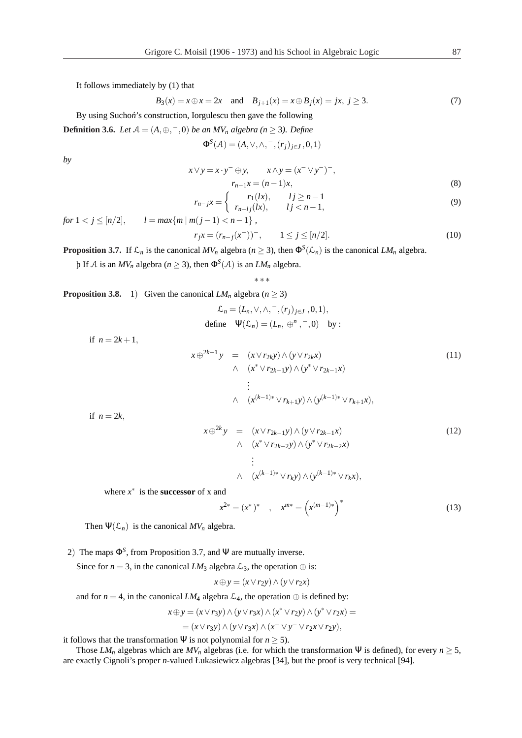It follows immediately by (1) that

$$
B_3(x) = x \oplus x = 2x
$$
 and  $B_{j+1}(x) = x \oplus B_j(x) = jx, j \ge 3.$  (7)

By using Suchon<sup>'</sup>s construction, Iorgulescu then gave the following

**Definition 3.6.** *Let*  $A = (A, \oplus, \neg, 0)$  *be an*  $MV_n$  *algebra* ( $n \ge 3$ ). *Define* 

$$
\Phi^S(\mathcal{A}) = (A, \vee, \wedge, ^-, (r_j)_{j \in J}, 0, 1)
$$

*by*

$$
x \vee y = x \cdot y^{-} \oplus y, \qquad x \wedge y = (x^{-} \vee y^{-})^{-},
$$
  

$$
r_{n-1}x = (n-1)x,
$$
 (8)

$$
r_{n-j}x = \begin{cases} r_1(lx), & l j \ge n-1 \\ r_{n-lj}(lx), & l j < n-1, \end{cases}
$$
 (9)

*for*  $1 < j \leq [n/2]$ ,  $l = max\{m | m(j-1) < n-1\}$ ,

 $r_j x = (r_{n-j}(x^-))^-,$  1 ≤ *j* ≤ [*n*/2]. (10) **Proposition 3.7.** If  $\mathcal{L}_n$  is the canonical  $MV_n$  algebra ( $n \ge 3$ ), then  $\Phi^S(\mathcal{L}_n)$  is the canonical  $LM_n$  algebra.

 $\beta$  If A is an  $MV_n$  algebra ( $n \geq 3$ ), then  $\Phi^S(\mathcal{A})$  is an  $LM_n$  algebra.

∗ ∗ ∗

**Proposition 3.8.** 1) Given the canonical  $LM_n$  algebra ( $n \ge 3$ )

$$
\mathcal{L}_n = (L_n, \vee, \wedge, \overline{\phantom{0}}, (r_j)_{j \in J}, 0, 1),
$$
  
define 
$$
\Psi(\mathcal{L}_n) = (L_n, \oplus^n, \overline{\phantom{0}}, 0) \text{ by :}
$$

if  $n = 2k + 1$ ,

$$
x \oplus^{2k+1} y = (x \vee r_{2k}y) \wedge (y \vee r_{2k}x) \wedge (x^* \vee r_{2k-1}y) \wedge (y^* \vee r_{2k-1}x) \vdots \wedge (x^{(k-1)*} \vee r_{k+1}y) \wedge (y^{(k-1)*} \vee r_{k+1}x),
$$
\n(11)

if  $n = 2k$ ,

$$
x \oplus^{2k} y = (x \vee r_{2k-1}y) \wedge (y \vee r_{2k-1}x)
$$
  
\n
$$
\wedge (x^* \vee r_{2k-2}y) \wedge (y^* \vee r_{2k-2}x)
$$
  
\n
$$
\vdots
$$
  
\n
$$
\wedge (x^{(k-1)*} \vee r_ky) \wedge (y^{(k-1)*} \vee r_kx),
$$
  
\n(12)

where  $x^*$  is the **successor** of x and

$$
x^{2*} = (x^*)^* \quad , \quad x^{m*} = \left(x^{(m-1)*}\right)^*
$$
 (13)

Then  $\Psi(\mathcal{L}_n)$  is the canonical  $MV_n$  algebra.

2) The maps  $\Phi^S$ , from Proposition 3.7, and  $\Psi$  are mutually inverse.

Since for *n* = 3, in the canonical *LM*<sub>3</sub> algebra  $\mathcal{L}_3$ , the operation  $\oplus$  is:

$$
x \oplus y = (x \vee r_2 y) \wedge (y \vee r_2 x)
$$

and for  $n = 4$ , in the canonical *LM*<sub>4</sub> algebra  $\mathcal{L}_4$ , the operation  $\oplus$  is defined by:

$$
x \oplus y = (x \vee r_3y) \wedge (y \vee r_3x) \wedge (x^* \vee r_2y) \wedge (y^* \vee r_2x) =
$$
  
= 
$$
(x \vee r_3y) \wedge (y \vee r_3x) \wedge (x^- \vee y^- \vee r_2x \vee r_2y),
$$

it follows that the transformation  $\Psi$  is not polynomial for  $n \geq 5$ ).

Those  $LM_n$  algebras which are  $MV_n$  algebras (i.e. for which the transformation  $\Psi$  is defined), for every  $n \geq 5$ , are exactly Cignoli's proper *n*-valued Łukasiewicz algebras [34], but the proof is very technical [94].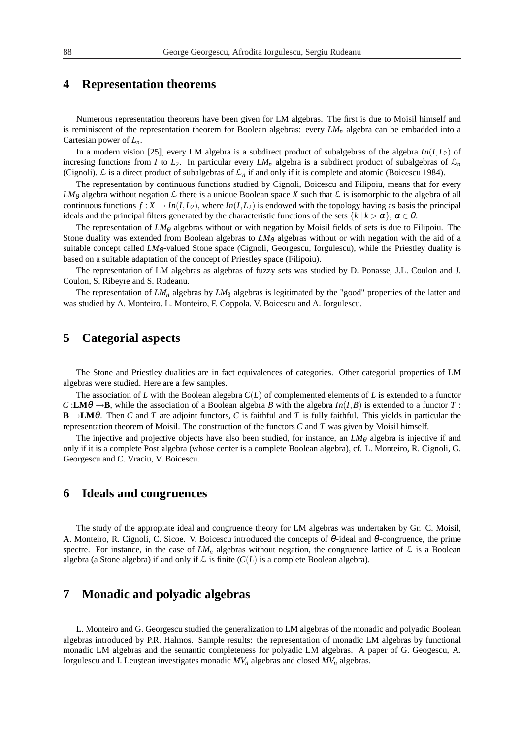## **4 Representation theorems**

Numerous representation theorems have been given for LM algebras. The first is due to Moisil himself and is reminiscent of the representation theorem for Boolean algebras: every *LM<sup>n</sup>* algebra can be embadded into a Cartesian power of *Ln*.

In a modern vision [25], every LM algebra is a subdirect product of subalgebras of the algebra *In*(*I*,*L*2) of incresing functions from *I* to  $L_2$ . In particular every  $LM_n$  algebra is a subdirect product of subalgebras of  $\mathcal{L}_n$ (Cignoli).  $\mathcal L$  is a direct product of subalgebras of  $\mathcal L_n$  if and only if it is complete and atomic (Boicescu 1984).

The representation by continuous functions studied by Cignoli, Boicescu and Filipoiu, means that for every  $LM_{\theta}$  algebra without negation  $\mathcal L$  there is a unique Boolean space *X* such that  $\mathcal L$  is isomorphic to the algebra of all continuous functions  $f: X \to In(I, L_2)$ , where  $In(I, L_2)$  is endowed with the topology having as basis the principal ideals and the principal filters generated by the characteristic functions of the sets  $\{k \mid k > \alpha\}$ ,  $\alpha \in \theta$ .

The representation of  $LM_{\theta}$  algebras without or with negation by Moisil fields of sets is due to Filipoiu. The Stone duality was extended from Boolean algebras to  $LM_\theta$  algebras without or with negation with the aid of a suitable concept called *LM*<sub>0</sub>-valued Stone space (Cignoli, Georgescu, Iorgulescu), while the Priestley duality is based on a suitable adaptation of the concept of Priestley space (Filipoiu).

The representation of LM algebras as algebras of fuzzy sets was studied by D. Ponasse, J.L. Coulon and J. Coulon, S. Ribeyre and S. Rudeanu.

The representation of *LM<sup>n</sup>* algebras by *LM*<sup>3</sup> algebras is legitimated by the "good" properties of the latter and was studied by A. Monteiro, L. Monteiro, F. Coppola, V. Boicescu and A. Iorgulescu.

# **5 Categorial aspects**

The Stone and Priestley dualities are in fact equivalences of categories. Other categorial properties of LM algebras were studied. Here are a few samples.

The association of *L* with the Boolean alegebra *C*(*L*) of complemented elements of *L* is extended to a functor  $C:LM\theta \rightarrow B$ , while the association of a Boolean algebra *B* with the algebra  $In(I,B)$  is extended to a functor *T* : **B** →**LM**θ. Then *C* and *T* are adjoint functors, *C* is faithful and *T* is fully faithful. This yields in particular the representation theorem of Moisil. The construction of the functors *C* and *T* was given by Moisil himself.

The injective and projective objects have also been studied, for instance, an *LM*<sub>θ</sub> algebra is injective if and only if it is a complete Post algebra (whose center is a complete Boolean algebra), cf. L. Monteiro, R. Cignoli, G. Georgescu and C. Vraciu, V. Boicescu.

#### **6 Ideals and congruences**

The study of the appropiate ideal and congruence theory for LM algebras was undertaken by Gr. C. Moisil, A. Monteiro, R. Cignoli, C. Sicoe. V. Boicescu introduced the concepts of θ-ideal and θ-congruence, the prime spectre. For instance, in the case of  $LM_n$  algebras without negation, the congruence lattice of  $\mathcal L$  is a Boolean algebra (a Stone algebra) if and only if  $\mathcal L$  is finite  $(C(L))$  is a complete Boolean algebra).

## **7 Monadic and polyadic algebras**

L. Monteiro and G. Georgescu studied the generalization to LM algebras of the monadic and polyadic Boolean algebras introduced by P.R. Halmos. Sample results: the representation of monadic LM algebras by functional monadic LM algebras and the semantic completeness for polyadic LM algebras. A paper of G. Geogescu, A. Iorgulescu and I. Leuștean investigates monadic  $MV_n$  algebras and closed  $MV_n$  algebras.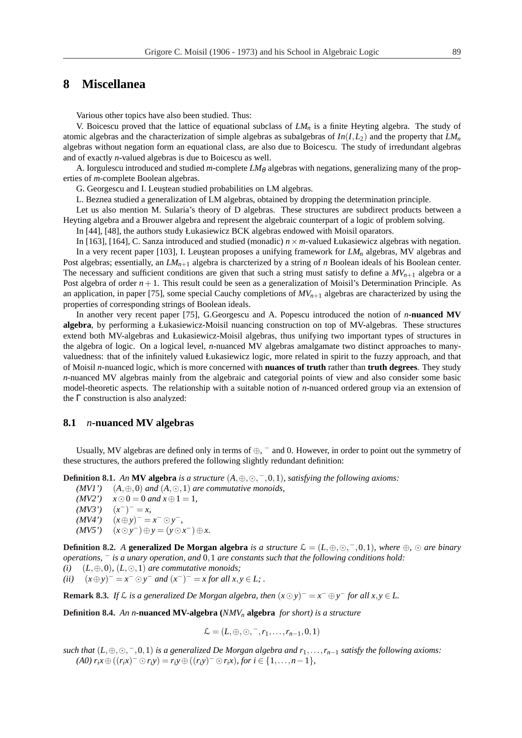# **8 Miscellanea**

Various other topics have also been studied. Thus:

V. Boicescu proved that the lattice of equational subclass of *LM<sup>n</sup>* is a finite Heyting algebra. The study of atomic algebras and the characterization of simple algebras as subalgebras of *In*(*I*,*L*2) and the property that *LM<sup>n</sup>* algebras without negation form an equational class, are also due to Boicescu. The study of irredundant algebras and of exactly *n*-valued algebras is due to Boicescu as well.

A. Iorgulescu introduced and studied  $m$ -complete  $LM_{\theta}$  algebras with negations, generalizing many of the properties of *m*-complete Boolean algebras.

G. Georgescu and I. Leustean studied probabilities on LM algebras.

L. Beznea studied a generalization of LM algebras, obtained by dropping the determination principle.

Let us also mention M. Sularia's theory of D algebras. These structures are subdirect products between a Heyting algebra and a Brouwer algebra and represent the algebraic counterpart of a logic of problem solving.

In [44], [48], the authors study Łukasiewicz BCK algebras endowed with Moisil oparators.

In [163], [164], C. Sanza introduced and studied (monadic) *n* × *m*-valued Łukasiewicz algebras with negation. In a very recent paper [103], I. Leuştean proposes a unifying framework for  $LM_n$  algebras, MV algebras and Post algebras; essentially, an *LMn*+<sup>1</sup> algebra is charcterized by a string of *n* Boolean ideals of his Boolean center. The necessary and sufficient conditions are given that such a string must satisfy to define a  $MV_{n+1}$  algebra or a Post algebra of order  $n+1$ . This result could be seen as a generalization of Moisil's Determination Principle. As an application, in paper [75], some special Cauchy completions of  $MV_{n+1}$  algebras are characterized by using the properties of corresponding strings of Boolean ideals.

In another very recent paper [75], G.Georgescu and A. Popescu introduced the notion of *n***-nuanced MV algebra**, by performing a Łukasiewicz-Moisil nuancing construction on top of MV-algebras. These structures extend both MV-algebras and Łukasiewicz-Moisil algebras, thus unifying two important types of structures in the algebra of logic. On a logical level, *n*-nuanced MV algebras amalgamate two distinct approaches to manyvaluedness: that of the infinitely valued Łukasiewicz logic, more related in spirit to the fuzzy approach, and that of Moisil *n*-nuanced logic, which is more concerned with **nuances of truth** rather than **truth degrees**. They study *n*-nuanced MV algebras mainly from the algebraic and categorial points of view and also consider some basic model-theoretic aspects. The relationship with a suitable notion of *n*-nuanced ordered group via an extension of the  $\Gamma$  construction is also analyzed:

#### **8.1** *n***-nuanced MV algebras**

Usually, MV algebras are defined only in terms of  $\oplus$ ,  $^-$  and 0. However, in order to point out the symmetry of these structures, the authors prefered the following slightly redundant definition:

**Definition 8.1.** An **MV algebra** *is a structure*  $(A, \oplus, \odot, \ulcorner, 0, 1)$ *, satisfying the following axioms:* 

- $(MVI')$  (*A*,  $\oplus$ , 0) *and* (*A*,  $\odot$ , 1) *are commutative monoids,*
- *(MV2')*  $x \odot 0 = 0$  *and*  $x \oplus 1 = 1$ *,*
- $(MV3')$  $(-)^{-} = x,$

$$
(M V4') \quad (x \oplus y)^{-} = x^{-} \odot y^{-},
$$

 $(WV5')$   $(x \odot y^-) \oplus y = (y \odot x^-) \oplus x$ .

**Definition 8.2.** *A* **generalized De Morgan algebra** *is a structure*  $\mathcal{L} = (L, \oplus, \odot, \neg, 0, 1)$ *, where*  $\oplus$ *,*  $\odot$  *are binary operations,* <sup>−</sup> *is a unary operation, and* 0,1 *are constants such that the following conditions hold:*

 $(i)$   $(L, \oplus, 0)$ *,*  $(L, \odot, 1)$  *are commutative monoids*;

*(ii)*  $(x \oplus y)^{-} = x^{-} \odot y^{-}$  *and*  $(x^{-})^{-} = x$  *for all*  $x, y \in L$ *;* .

**Remark 8.3.** *If*  $\mathcal{L}$  *is a generalized De Morgan algebra, then*  $(x \odot y)^{-} = x^{-} \oplus y^{-}$  *for all*  $x, y \in L$ .

**Definition 8.4.** *An n***-nuanced MV-algebra (***NMV<sup>n</sup>* **algebra** *for short) is a structure*

$$
\mathcal{L} = (L, \oplus, \odot, \bar{\phantom{m}}, r_1, \ldots, r_{n-1}, 0, 1)
$$

 $such that$   $(L, \oplus, \odot, \neg, 0, 1)$  *is a generalized De Morgan algebra and*  $r_1, \ldots, r_{n-1}$  *satisfy the following axioms:* (A0)  $r_i x \oplus ((r_i x)^{-} \odot r_i y) = r_i y \oplus ((r_i y)^{-} \odot r_i x)$ , for  $i \in \{1, ..., n-1\}$ ,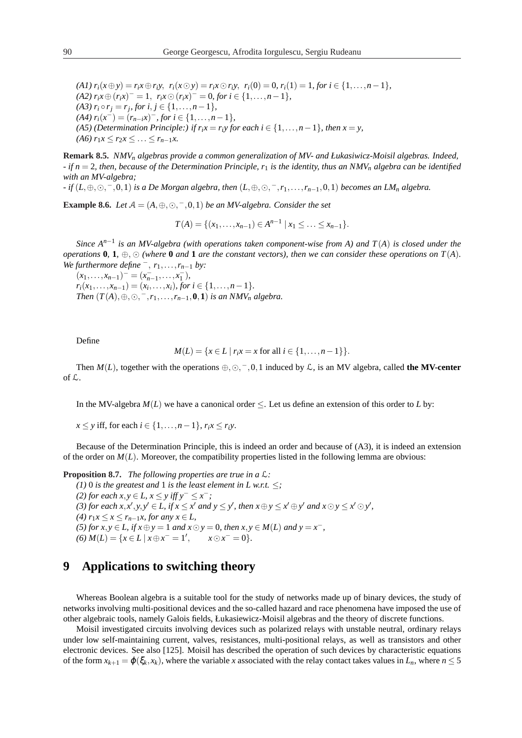$(A1) r_i(x \oplus y) = r_i x \oplus r_i y$ ,  $r_i(x \odot y) = r_i x \odot r_i y$ ,  $r_i(0) = 0$ ,  $r_i(1) = 1$ , for  $i \in \{1, ..., n-1\}$ ,  $f(A2)$   $r_i x \oplus (r_i x)^{-} = 1$ ,  $r_i x \odot (r_i x)^{-} = 0$ , for  $i \in \{1, ..., n-1\}$ ,  $(A3)$   $r_i \circ r_j = r_j$ , for  $i, j \in \{1, ..., n-1\}$ , *(A4)*  $r_i(x^-) = (r_{n-i}x)^{-}$ *, for*  $i \in \{1, ..., n-1\}$ *, (A5) (Determination Principle:) if*  $r_i x = r_i y$  *for each*  $i \in \{1, \ldots, n-1\}$ *, then*  $x = y$ *, (A6)*  $r_1 x \leq r_2 x \leq \ldots \leq r_{n-1} x$ .

**Remark 8.5.** *NMV<sup>n</sup> algebras provide a common generalization of MV- and Łukasiwicz-Moisil algebras. Indeed, - if n* = 2*, then, because of the Determination Principle, r*<sup>1</sup> *is the identity, thus an NMV<sup>n</sup> algebra can be identified with an MV-algebra;*

*- if* (*L*,⊕,¯, <sup>−</sup>,0,1) *is a De Morgan algebra, then* (*L*,⊕,¯, <sup>−</sup>,*r*1,...,*rn*−1,0,1) *becomes an LM<sup>n</sup> algebra.*

**Example 8.6.** *Let*  $A = (A, \oplus, \odot, \overline{\phantom{0}}, 0, 1)$  *be an MV-algebra. Consider the set* 

$$
T(A) = \{(x_1, \ldots, x_{n-1}) \in A^{n-1} \mid x_1 \leq \ldots \leq x_{n-1}\}.
$$

*Since*  $A^{n-1}$  *is an MV-algebra (with operations taken component-wise from A) and*  $T(A)$  *<i>is closed under the operations* **0**, **1**,  $\oplus$ ,  $\odot$  *(where* **0** *and* **1** *are the constant vectors), then we can consider these operations on*  $T(A)$ *. We furthermore define*  $^-, r_1, \ldots, r_{n-1}$  *by:* 

 $(x_1,...,x_{n-1})^- = (x_{n-1}^-,...,x_1^-),$  $r_i(x_1, \ldots, x_{n-1}) = (x_i, \ldots, x_i)$ , for  $i \in \{1, \ldots, n-1\}$ . *Then*  $(T(A), \oplus, \odot, \neg, r_1, \ldots, r_{n-1}, \mathbf{0}, \mathbf{1})$  *is an NMV<sub>n</sub> algebra.* 

Define

$$
M(L) = \{x \in L \mid r_i x = x \text{ for all } i \in \{1, ..., n-1\}\}.
$$

Then  $M(L)$ , together with the operations  $\oplus$ ,  $\odot$ ,  $\overline{\phantom{0}}$ , 0, 1 induced by  $\mathcal{L}$ , is an MV algebra, called the MV-center of L.

In the MV-algebra  $M(L)$  we have a canonical order  $\leq$ . Let us define an extension of this order to *L* by:

*x* ≤ *y* iff, for each *i* ∈ {1, ..., *n* − 1},  $r_i x$  ≤  $r_i y$ .

Because of the Determination Principle, this is indeed an order and because of (A3), it is indeed an extension of the order on  $M(L)$ . Moreover, the compatibility properties listed in the following lemma are obvious:

**Proposition 8.7.** *The following properties are true in a* L*:*

*(1)* 0 *is the greatest and* 1 *is the least element in L w.r.t.*  $\leq$ *; (2) for each*  $x, y \in L$ ,  $x \le y$  *iff*  $y<sup>−</sup> \le x<sup>−</sup>$ *;* (3) for each  $x, x', y, y' \in L$ , if  $x \le x'$  and  $y \le y'$ , then  $x \oplus y \le x' \oplus y'$  and  $x \odot y \le x' \odot y'$ , *(4)*  $r_1 x \leq x \leq r_{n-1} x$ , for any  $x \in L$ , *(5) for*  $x, y \in L$ , *if*  $x \oplus y = 1$  *and*  $x \odot y = 0$ *, then*  $x, y \in M(L)$  *and*  $y = x^{-}$ *,*  $(6)$  *M*(*L*) = {*x* ∈ *L* | *x* ⊕ *x*<sup>−</sup> = 1<sup>*'*</sup>  $, \quad x \odot x^- = 0$ }.

## **9 Applications to switching theory**

Whereas Boolean algebra is a suitable tool for the study of networks made up of binary devices, the study of networks involving multi-positional devices and the so-called hazard and race phenomena have imposed the use of other algebraic tools, namely Galois fields, Łukasiewicz-Moisil algebras and the theory of discrete functions.

Moisil investigated circuits involving devices such as polarized relays with unstable neutral, ordinary relays under low self-maintaining current, valves, resistances, multi-positional relays, as well as transistors and other electronic devices. See also [125]. Moisil has described the operation of such devices by characteristic equations of the form  $x_{k+1} = \varphi(\xi_k, x_k)$ , where the variable *x* associated with the relay contact takes values in  $L_n$ , where  $n \le 5$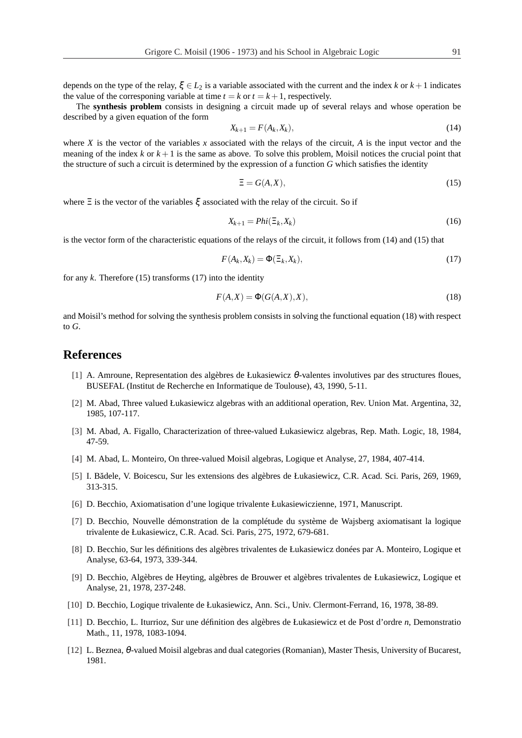The **synthesis problem** consists in designing a circuit made up of several relays and whose operation be described by a given equation of the form

$$
X_{k+1} = F(A_k, X_k),\tag{14}
$$

where *X* is the vector of the variables *x* associated with the relays of the circuit, *A* is the input vector and the meaning of the index  $k$  or  $k+1$  is the same as above. To solve this problem, Moisil notices the crucial point that the structure of such a circuit is determined by the expression of a function *G* which satisfies the identity

$$
\Xi = G(A, X),\tag{15}
$$

where  $\Xi$  is the vector of the variables  $\xi$  associated with the relay of the circuit. So if

$$
X_{k+1} = Phi(\Xi_k, X_k) \tag{16}
$$

is the vector form of the characteristic equations of the relays of the circuit, it follows from (14) and (15) that

$$
F(A_k, X_k) = \Phi(\Xi_k, X_k),\tag{17}
$$

for any  $k$ . Therefore (15) transforms (17) into the identity

$$
F(A,X) = \Phi(G(A,X),X),\tag{18}
$$

and Moisil's method for solving the synthesis problem consists in solving the functional equation (18) with respect to *G*.

### **References**

- [1] A. Amroune, Representation des algèbres de Łukasiewicz θ-valentes involutives par des structures floues, BUSEFAL (Institut de Recherche en Informatique de Toulouse), 43, 1990, 5-11.
- [2] M. Abad, Three valued Łukasiewicz algebras with an additional operation, Rev. Union Mat. Argentina, 32, 1985, 107-117.
- [3] M. Abad, A. Figallo, Characterization of three-valued Łukasiewicz algebras, Rep. Math. Logic, 18, 1984, 47-59.
- [4] M. Abad, L. Monteiro, On three-valued Moisil algebras, Logique et Analyse, 27, 1984, 407-414.
- [5] I. Bădele, V. Boicescu, Sur les extensions des algèbres de Łukasiewicz, C.R. Acad. Sci. Paris, 269, 1969, 313-315.
- [6] D. Becchio, Axiomatisation d'une logique trivalente Łukasiewiczienne, 1971, Manuscript.
- [7] D. Becchio, Nouvelle démonstration de la complétude du système de Wajsberg axiomatisant la logique trivalente de Łukasiewicz, C.R. Acad. Sci. Paris, 275, 1972, 679-681.
- [8] D. Becchio, Sur les définitions des algèbres trivalentes de Łukasiewicz donées par A. Monteiro, Logique et Analyse, 63-64, 1973, 339-344.
- [9] D. Becchio, Algèbres de Heyting, algèbres de Brouwer et algèbres trivalentes de Łukasiewicz, Logique et Analyse, 21, 1978, 237-248.
- [10] D. Becchio, Logique trivalente de Łukasiewicz, Ann. Sci., Univ. Clermont-Ferrand, 16, 1978, 38-89.
- [11] D. Becchio, L. Iturrioz, Sur une définition des algèbres de Łukasiewicz et de Post d'ordre *n*, Demonstratio Math., 11, 1978, 1083-1094.
- [12] L. Beznea, θ-valued Moisil algebras and dual categories (Romanian), Master Thesis, University of Bucarest, 1981.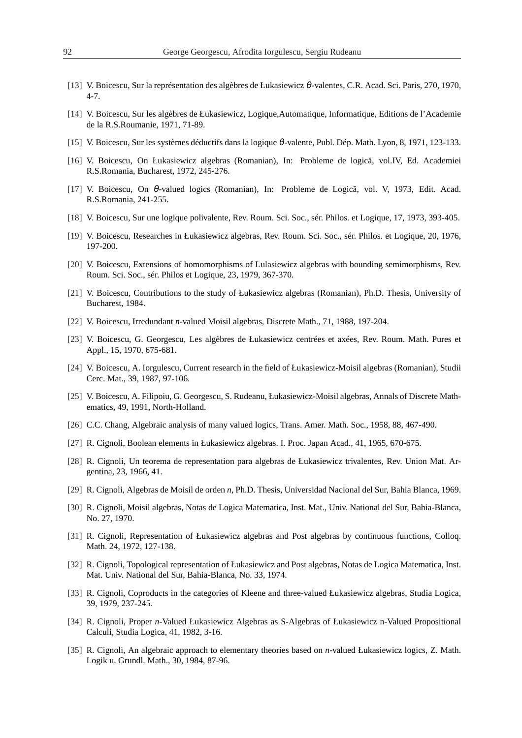- [13] V. Boicescu, Sur la représentation des algèbres de Łukasiewicz θ-valentes, C.R. Acad. Sci. Paris, 270, 1970, 4-7.
- [14] V. Boicescu, Sur les algèbres de Łukasiewicz, Logique,Automatique, Informatique, Editions de l'Academie de la R.S.Roumanie, 1971, 71-89.
- [15] V. Boicescu, Sur les systèmes déductifs dans la logique θ-valente, Publ. Dép. Math. Lyon, 8, 1971, 123-133.
- [16] V. Boicescu, On Łukasiewicz algebras (Romanian), In: Probleme de logica, vol.IV, Ed. Academiei ˘ R.S.Romania, Bucharest, 1972, 245-276.
- [17] V. Boicescu, On  $\theta$ -valued logics (Romanian), In: Probleme de Logică, vol. V, 1973, Edit. Acad. R.S.Romania, 241-255.
- [18] V. Boicescu, Sur une logique polivalente, Rev. Roum. Sci. Soc., sér. Philos. et Logique, 17, 1973, 393-405.
- [19] V. Boicescu, Researches in Łukasiewicz algebras, Rev. Roum. Sci. Soc., sér. Philos. et Logique, 20, 1976, 197-200.
- [20] V. Boicescu, Extensions of homomorphisms of Lulasiewicz algebras with bounding semimorphisms, Rev. Roum. Sci. Soc., sér. Philos et Logique, 23, 1979, 367-370.
- [21] V. Boicescu, Contributions to the study of Łukasiewicz algebras (Romanian), Ph.D. Thesis, University of Bucharest, 1984.
- [22] V. Boicescu, Irredundant *n*-valued Moisil algebras, Discrete Math., 71, 1988, 197-204.
- [23] V. Boicescu, G. Georgescu, Les algèbres de Łukasiewicz centrées et axées, Rev. Roum. Math. Pures et Appl., 15, 1970, 675-681.
- [24] V. Boicescu, A. Iorgulescu, Current research in the field of Łukasiewicz-Moisil algebras (Romanian), Studii Cerc. Mat., 39, 1987, 97-106.
- [25] V. Boicescu, A. Filipoiu, G. Georgescu, S. Rudeanu, Łukasiewicz-Moisil algebras, Annals of Discrete Mathematics, 49, 1991, North-Holland.
- [26] C.C. Chang, Algebraic analysis of many valued logics, Trans. Amer. Math. Soc., 1958, 88, 467-490.
- [27] R. Cignoli, Boolean elements in Łukasiewicz algebras. I. Proc. Japan Acad., 41, 1965, 670-675.
- [28] R. Cignoli, Un teorema de representation para algebras de Łukasiewicz trivalentes, Rev. Union Mat. Argentina, 23, 1966, 41.
- [29] R. Cignoli, Algebras de Moisil de orden *n*, Ph.D. Thesis, Universidad Nacional del Sur, Bahia Blanca, 1969.
- [30] R. Cignoli, Moisil algebras, Notas de Logica Matematica, Inst. Mat., Univ. National del Sur, Bahia-Blanca, No. 27, 1970.
- [31] R. Cignoli, Representation of Łukasiewicz algebras and Post algebras by continuous functions, Colloq. Math. 24, 1972, 127-138.
- [32] R. Cignoli, Topological representation of Łukasiewicz and Post algebras, Notas de Logica Matematica, Inst. Mat. Univ. National del Sur, Bahia-Blanca, No. 33, 1974.
- [33] R. Cignoli, Coproducts in the categories of Kleene and three-valued Łukasiewicz algebras, Studia Logica, 39, 1979, 237-245.
- [34] R. Cignoli, Proper *n*-Valued Łukasiewicz Algebras as S-Algebras of Łukasiewicz n-Valued Propositional Calculi, Studia Logica, 41, 1982, 3-16.
- [35] R. Cignoli, An algebraic approach to elementary theories based on *n*-valued Łukasiewicz logics, Z. Math. Logik u. Grundl. Math., 30, 1984, 87-96.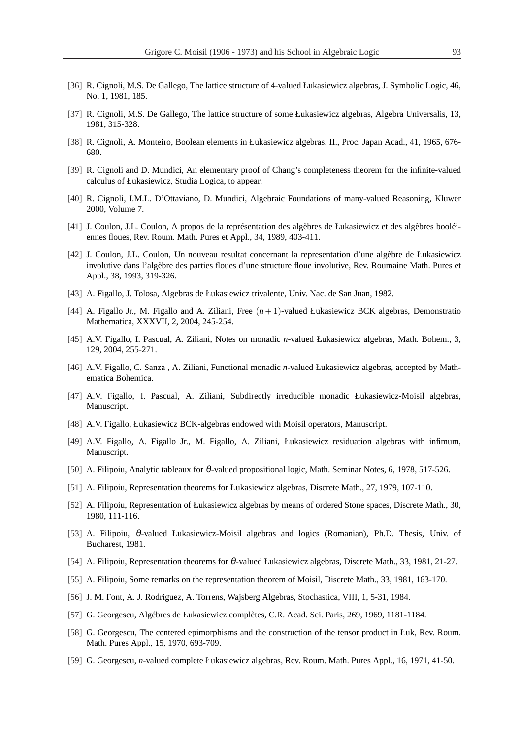- [36] R. Cignoli, M.S. De Gallego, The lattice structure of 4-valued Łukasiewicz algebras, J. Symbolic Logic, 46, No. 1, 1981, 185.
- [37] R. Cignoli, M.S. De Gallego, The lattice structure of some Łukasiewicz algebras, Algebra Universalis, 13, 1981, 315-328.
- [38] R. Cignoli, A. Monteiro, Boolean elements in Łukasiewicz algebras. II., Proc. Japan Acad., 41, 1965, 676- 680.
- [39] R. Cignoli and D. Mundici, An elementary proof of Chang's completeness theorem for the infinite-valued calculus of Łukasiewicz, Studia Logica, to appear.
- [40] R. Cignoli, I.M.L. D'Ottaviano, D. Mundici, Algebraic Foundations of many-valued Reasoning, Kluwer 2000, Volume 7.
- [41] J. Coulon, J.L. Coulon, A propos de la représentation des algèbres de Łukasiewicz et des algèbres booléiennes floues, Rev. Roum. Math. Pures et Appl., 34, 1989, 403-411.
- [42] J. Coulon, J.L. Coulon, Un nouveau resultat concernant la representation d'une algèbre de Łukasiewicz involutive dans l'algèbre des parties floues d'une structure floue involutive, Rev. Roumaine Math. Pures et Appl., 38, 1993, 319-326.
- [43] A. Figallo, J. Tolosa, Algebras de Łukasiewicz trivalente, Univ. Nac. de San Juan, 1982.
- [44] A. Figallo Jr., M. Figallo and A. Ziliani, Free (*n* + 1)-valued Łukasiewicz BCK algebras, Demonstratio Mathematica, XXXVII, 2, 2004, 245-254.
- [45] A.V. Figallo, I. Pascual, A. Ziliani, Notes on monadic *n*-valued Łukasiewicz algebras, Math. Bohem., 3, 129, 2004, 255-271.
- [46] A.V. Figallo, C. Sanza , A. Ziliani, Functional monadic *n*-valued Łukasiewicz algebras, accepted by Mathematica Bohemica.
- [47] A.V. Figallo, I. Pascual, A. Ziliani, Subdirectly irreducible monadic Łukasiewicz-Moisil algebras, Manuscript.
- [48] A.V. Figallo, Łukasiewicz BCK-algebras endowed with Moisil operators, Manuscript.
- [49] A.V. Figallo, A. Figallo Jr., M. Figallo, A. Ziliani, Łukasiewicz residuation algebras with infimum, Manuscript.
- [50] A. Filipoiu, Analytic tableaux for θ-valued propositional logic, Math. Seminar Notes, 6, 1978, 517-526.
- [51] A. Filipoiu, Representation theorems for Łukasiewicz algebras, Discrete Math., 27, 1979, 107-110.
- [52] A. Filipoiu, Representation of Łukasiewicz algebras by means of ordered Stone spaces, Discrete Math., 30, 1980, 111-116.
- [53] A. Filipoiu, θ-valued Łukasiewicz-Moisil algebras and logics (Romanian), Ph.D. Thesis, Univ. of Bucharest, 1981.
- [54] A. Filipoiu, Representation theorems for θ-valued Łukasiewicz algebras, Discrete Math., 33, 1981, 21-27.
- [55] A. Filipoiu, Some remarks on the representation theorem of Moisil, Discrete Math., 33, 1981, 163-170.
- [56] J. M. Font, A. J. Rodriguez, A. Torrens, Wajsberg Algebras, Stochastica, VIII, 1, 5-31, 1984.
- [57] G. Georgescu, Algébres de Łukasiewicz complètes, C.R. Acad. Sci. Paris, 269, 1969, 1181-1184.
- [58] G. Georgescu, The centered epimorphisms and the construction of the tensor product in Łuk, Rev. Roum. Math. Pures Appl., 15, 1970, 693-709.
- [59] G. Georgescu, *n*-valued complete Łukasiewicz algebras, Rev. Roum. Math. Pures Appl., 16, 1971, 41-50.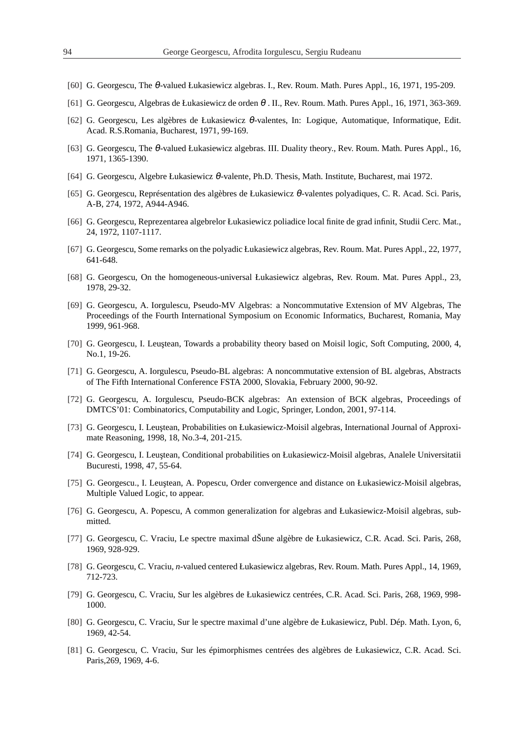- [60] G. Georgescu, The θ-valued Łukasiewicz algebras. I., Rev. Roum. Math. Pures Appl., 16, 1971, 195-209.
- [61] G. Georgescu, Algebras de Łukasiewicz de orden  $\theta$ . II., Rev. Roum. Math. Pures Appl., 16, 1971, 363-369.
- [62] G. Georgescu, Les algèbres de Łukasiewicz θ-valentes, In: Logique, Automatique, Informatique, Edit. Acad. R.S.Romania, Bucharest, 1971, 99-169.
- [63] G. Georgescu, The θ-valued Łukasiewicz algebras. III. Duality theory., Rev. Roum. Math. Pures Appl., 16, 1971, 1365-1390.
- [64] G. Georgescu, Algebre Łukasiewicz θ-valente, Ph.D. Thesis, Math. Institute, Bucharest, mai 1972.
- [65] G. Georgescu, Représentation des algèbres de Łukasiewicz θ-valentes polyadiques, C. R. Acad. Sci. Paris, A-B, 274, 1972, A944-A946.
- [66] G. Georgescu, Reprezentarea algebrelor Łukasiewicz poliadice local finite de grad infinit, Studii Cerc. Mat., 24, 1972, 1107-1117.
- [67] G. Georgescu, Some remarks on the polyadic Łukasiewicz algebras, Rev. Roum. Mat. Pures Appl., 22, 1977, 641-648.
- [68] G. Georgescu, On the homogeneous-universal Łukasiewicz algebras, Rev. Roum. Mat. Pures Appl., 23, 1978, 29-32.
- [69] G. Georgescu, A. Iorgulescu, Pseudo-MV Algebras: a Noncommutative Extension of MV Algebras, The Proceedings of the Fourth International Symposium on Economic Informatics, Bucharest, Romania, May 1999, 961-968.
- [70] G. Georgescu, I. Leustean, Towards a probability theory based on Moisil logic, Soft Computing, 2000, 4, No.1, 19-26.
- [71] G. Georgescu, A. Iorgulescu, Pseudo-BL algebras: A noncommutative extension of BL algebras, Abstracts of The Fifth International Conference FSTA 2000, Slovakia, February 2000, 90-92.
- [72] G. Georgescu, A. Iorgulescu, Pseudo-BCK algebras: An extension of BCK algebras, Proceedings of DMTCS'01: Combinatorics, Computability and Logic, Springer, London, 2001, 97-114.
- [73] G. Georgescu, I. Leustean, Probabilities on Łukasiewicz-Moisil algebras, International Journal of Approximate Reasoning, 1998, 18, No.3-4, 201-215.
- [74] G. Georgescu, I. Leustean, Conditional probabilities on Łukasiewicz-Moisil algebras, Analele Universitatii Bucuresti, 1998, 47, 55-64.
- [75] G. Georgescu., I. Leuştean, A. Popescu, Order convergence and distance on Łukasiewicz-Moisil algebras, Multiple Valued Logic, to appear.
- [76] G. Georgescu, A. Popescu, A common generalization for algebras and Łukasiewicz-Moisil algebras, submitted.
- [77] G. Georgescu, C. Vraciu, Le spectre maximal dŠune algèbre de Łukasiewicz, C.R. Acad. Sci. Paris, 268, 1969, 928-929.
- [78] G. Georgescu, C. Vraciu, *n*-valued centered Łukasiewicz algebras, Rev. Roum. Math. Pures Appl., 14, 1969, 712-723.
- [79] G. Georgescu, C. Vraciu, Sur les algèbres de Łukasiewicz centrées, C.R. Acad. Sci. Paris, 268, 1969, 998- 1000.
- [80] G. Georgescu, C. Vraciu, Sur le spectre maximal d'une algèbre de Łukasiewicz, Publ. Dép. Math. Lyon, 6, 1969, 42-54.
- [81] G. Georgescu, C. Vraciu, Sur les épimorphismes centrées des algèbres de Łukasiewicz, C.R. Acad. Sci. Paris,269, 1969, 4-6.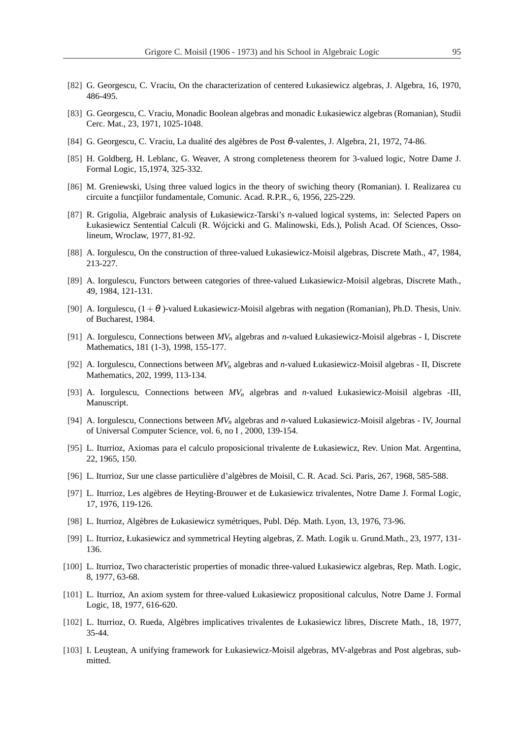- [82] G. Georgescu, C. Vraciu, On the characterization of centered Łukasiewicz algebras, J. Algebra, 16, 1970, 486-495.
- [83] G. Georgescu, C. Vraciu, Monadic Boolean algebras and monadic Łukasiewicz algebras (Romanian), Studii Cerc. Mat., 23, 1971, 1025-1048.
- [84] G. Georgescu, C. Vraciu, La dualité des algèbres de Post θ-valentes, J. Algebra, 21, 1972, 74-86.
- [85] H. Goldberg, H. Leblanc, G. Weaver, A strong completeness theorem for 3-valued logic, Notre Dame J. Formal Logic, 15,1974, 325-332.
- [86] M. Greniewski, Using three valued logics in the theory of swiching theory (Romanian). I. Realizarea cu circuite a funcțiilor fundamentale, Comunic. Acad. R.P.R., 6, 1956, 225-229.
- [87] R. Grigolia, Algebraic analysis of Łukasiewicz-Tarski's *n*-valued logical systems, in: Selected Papers on Łukasiewicz Sentential Calculi (R. Wójcicki and G. Malinowski, Eds.), Polish Acad. Of Sciences, Ossolineum, Wroclaw, 1977, 81-92.
- [88] A. Iorgulescu, On the construction of three-valued Łukasiewicz-Moisil algebras, Discrete Math., 47, 1984, 213-227.
- [89] A. Iorgulescu, Functors between categories of three-valued Łukasiewicz-Moisil algebras, Discrete Math., 49, 1984, 121-131.
- [90] A. Iorgulescu,  $(1+\theta)$ -valued Łukasiewicz-Moisil algebras with negation (Romanian), Ph.D. Thesis, Univ. of Bucharest, 1984.
- [91] A. Iorgulescu, Connections between *MV<sup>n</sup>* algebras and *n*-valued Łukasiewicz-Moisil algebras I, Discrete Mathematics, 181 (1-3), 1998, 155-177.
- [92] A. Iorgulescu, Connections between *MV<sup>n</sup>* algebras and *n*-valued Łukasiewicz-Moisil algebras II, Discrete Mathematics, 202, 1999, 113-134.
- [93] A. Iorgulescu, Connections between *MV<sup>n</sup>* algebras and *n*-valued Łukasiewicz-Moisil algebras -III, Manuscript.
- [94] A. Iorgulescu, Connections between *MV<sup>n</sup>* algebras and *n*-valued Łukasiewicz-Moisil algebras IV, Journal of Universal Computer Science, vol. 6, no I , 2000, 139-154.
- [95] L. Iturrioz, Axiomas para el calculo proposicional trivalente de Łukasiewicz, Rev. Union Mat. Argentina, 22, 1965, 150.
- [96] L. Iturrioz, Sur une classe particulière d'algèbres de Moisil, C. R. Acad. Sci. Paris, 267, 1968, 585-588.
- [97] L. Iturrioz, Les algèbres de Heyting-Brouwer et de Łukasiewicz trivalentes, Notre Dame J. Formal Logic, 17, 1976, 119-126.
- [98] L. Iturrioz, Algèbres de Łukasiewicz symétriques, Publ. Dép. Math. Lyon, 13, 1976, 73-96.
- [99] L. Iturrioz, Łukasiewicz and symmetrical Heyting algebras, Z. Math. Logik u. Grund.Math., 23, 1977, 131- 136.
- [100] L. Iturrioz, Two characteristic properties of monadic three-valued Łukasiewicz algebras, Rep. Math. Logic, 8, 1977, 63-68.
- [101] L. Iturrioz, An axiom system for three-valued Łukasiewicz propositional calculus, Notre Dame J. Formal Logic, 18, 1977, 616-620.
- [102] L. Iturrioz, O. Rueda, Algèbres implicatives trivalentes de Łukasiewicz libres, Discrete Math., 18, 1977, 35-44.
- [103] I. Leuştean, A unifying framework for Łukasiewicz-Moisil algebras, MV-algebras and Post algebras, submitted.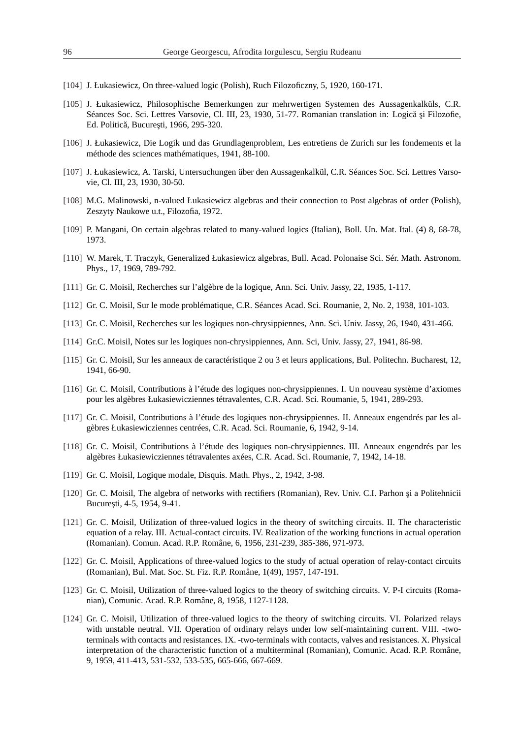- [104] J. Łukasiewicz, On three-valued logic (Polish), Ruch Filozoficzny, 5, 1920, 160-171.
- [105] J. Łukasiewicz, Philosophische Bemerkungen zur mehrwertigen Systemen des Aussagenkalküls, C.R. Séances Soc. Sci. Lettres Varsovie, Cl. III, 23, 1930, 51-77. Romanian translation in: Logică și Filozofie, Ed. Politică, București, 1966, 295-320.
- [106] J. Łukasiewicz, Die Logik und das Grundlagenproblem, Les entretiens de Zurich sur les fondements et la méthode des sciences mathématiques, 1941, 88-100.
- [107] J. Łukasiewicz, A. Tarski, Untersuchungen über den Aussagenkalkül, C.R. Séances Soc. Sci. Lettres Varsovie, Cl. III, 23, 1930, 30-50.
- [108] M.G. Malinowski, n-valued Łukasiewicz algebras and their connection to Post algebras of order (Polish), Zeszyty Naukowe u.t., Filozofia, 1972.
- [109] P. Mangani, On certain algebras related to many-valued logics (Italian), Boll. Un. Mat. Ital. (4) 8, 68-78, 1973.
- [110] W. Marek, T. Traczyk, Generalized Łukasiewicz algebras, Bull. Acad. Polonaise Sci. Sér. Math. Astronom. Phys., 17, 1969, 789-792.
- [111] Gr. C. Moisil, Recherches sur l'algèbre de la logique, Ann. Sci. Univ. Jassy, 22, 1935, 1-117.
- [112] Gr. C. Moisil, Sur le mode problématique, C.R. Séances Acad. Sci. Roumanie, 2, No. 2, 1938, 101-103.
- [113] Gr. C. Moisil, Recherches sur les logiques non-chrysippiennes, Ann. Sci. Univ. Jassy, 26, 1940, 431-466.
- [114] Gr.C. Moisil, Notes sur les logiques non-chrysippiennes, Ann. Sci, Univ. Jassy, 27, 1941, 86-98.
- [115] Gr. C. Moisil, Sur les anneaux de caractéristique 2 ou 3 et leurs applications, Bul. Politechn. Bucharest, 12, 1941, 66-90.
- [116] Gr. C. Moisil, Contributions à l'étude des logiques non-chrysippiennes. I. Un nouveau système d'axiomes pour les algèbres Łukasiewicziennes tétravalentes, C.R. Acad. Sci. Roumanie, 5, 1941, 289-293.
- [117] Gr. C. Moisil, Contributions à l'étude des logiques non-chrysippiennes. II. Anneaux engendrés par les algèbres Łukasiewicziennes centrées, C.R. Acad. Sci. Roumanie, 6, 1942, 9-14.
- [118] Gr. C. Moisil, Contributions à l'étude des logiques non-chrysippiennes. III. Anneaux engendrés par les algèbres Łukasiewicziennes tétravalentes axées, C.R. Acad. Sci. Roumanie, 7, 1942, 14-18.
- [119] Gr. C. Moisil, Logique modale, Disquis. Math. Phys., 2, 1942, 3-98.
- [120] Gr. C. Moisil, The algebra of networks with rectifiers (Romanian), Rev. Univ. C.I. Parhon și a Politehnicii București, 4-5, 1954, 9-41.
- [121] Gr. C. Moisil, Utilization of three-valued logics in the theory of switching circuits. II. The characteristic equation of a relay. III. Actual-contact circuits. IV. Realization of the working functions in actual operation (Romanian). Comun. Acad. R.P. Române, 6, 1956, 231-239, 385-386, 971-973.
- [122] Gr. C. Moisil, Applications of three-valued logics to the study of actual operation of relay-contact circuits (Romanian), Bul. Mat. Soc. St. Fiz. R.P. Române, 1(49), 1957, 147-191.
- [123] Gr. C. Moisil, Utilization of three-valued logics to the theory of switching circuits. V. P-I circuits (Romanian), Comunic. Acad. R.P. Române, 8, 1958, 1127-1128.
- [124] Gr. C. Moisil, Utilization of three-valued logics to the theory of switching circuits. VI. Polarized relays with unstable neutral. VII. Operation of ordinary relays under low self-maintaining current. VIII. -twoterminals with contacts and resistances. IX. -two-terminals with contacts, valves and resistances. X. Physical interpretation of the characteristic function of a multiterminal (Romanian), Comunic. Acad. R.P. Române, 9, 1959, 411-413, 531-532, 533-535, 665-666, 667-669.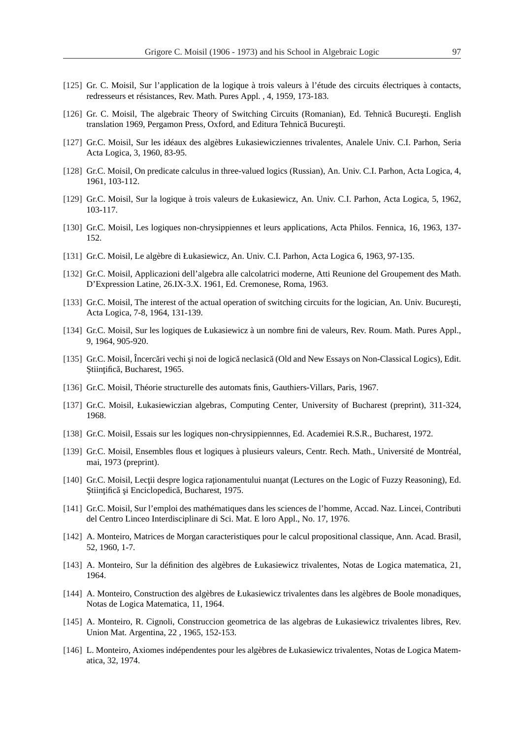- [125] Gr. C. Moisil, Sur l'application de la logique à trois valeurs à l'étude des circuits électriques à contacts, redresseurs et résistances, Rev. Math. Pures Appl. , 4, 1959, 173-183.
- [126] Gr. C. Moisil, The algebraic Theory of Switching Circuits (Romanian), Ed. Tehnică București. English translation 1969, Pergamon Press, Oxford, and Editura Tehnică București.
- [127] Gr.C. Moisil, Sur les idéaux des algèbres Łukasiewicziennes trivalentes, Analele Univ. C.I. Parhon, Seria Acta Logica, 3, 1960, 83-95.
- [128] Gr.C. Moisil, On predicate calculus in three-valued logics (Russian), An. Univ. C.I. Parhon, Acta Logica, 4, 1961, 103-112.
- [129] Gr.C. Moisil, Sur la logique à trois valeurs de Łukasiewicz, An. Univ. C.I. Parhon, Acta Logica, 5, 1962, 103-117.
- [130] Gr.C. Moisil, Les logiques non-chrysippiennes et leurs applications, Acta Philos. Fennica, 16, 1963, 137- 152.
- [131] Gr.C. Moisil, Le algèbre di Łukasiewicz, An. Univ. C.I. Parhon, Acta Logica 6, 1963, 97-135.
- [132] Gr.C. Moisil, Applicazioni dell'algebra alle calcolatrici moderne, Atti Reunione del Groupement des Math. D'Expression Latine, 26.IX-3.X. 1961, Ed. Cremonese, Roma, 1963.
- [133] Gr.C. Moisil, The interest of the actual operation of switching circuits for the logician, An. Univ. București, Acta Logica, 7-8, 1964, 131-139.
- [134] Gr.C. Moisil, Sur les logiques de Łukasiewicz à un nombre fini de valeurs, Rev. Roum. Math. Pures Appl., 9, 1964, 905-920.
- [135] Gr.C. Moisil, Încercări vechi și noi de logică neclasică (Old and New Essays on Non-Classical Logics), Edit. Ştiințifică, Bucharest, 1965.
- [136] Gr.C. Moisil, Théorie structurelle des automats finis, Gauthiers-Villars, Paris, 1967.
- [137] Gr.C. Moisil, Łukasiewiczian algebras, Computing Center, University of Bucharest (preprint), 311-324, 1968.
- [138] Gr.C. Moisil, Essais sur les logiques non-chrysippiennnes, Ed. Academiei R.S.R., Bucharest, 1972.
- [139] Gr.C. Moisil, Ensembles flous et logiques à plusieurs valeurs, Centr. Rech. Math., Université de Montréal, mai, 1973 (preprint).
- [140] Gr.C. Moisil, Lecții despre logica raționamentului nuanțat (Lectures on the Logic of Fuzzy Reasoning), Ed. Ştiințifică și Enciclopedică, Bucharest, 1975.
- [141] Gr.C. Moisil, Sur l'emploi des mathématiques dans les sciences de l'homme, Accad. Naz. Lincei, Contributi del Centro Linceo Interdisciplinare di Sci. Mat. E loro Appl., No. 17, 1976.
- [142] A. Monteiro, Matrices de Morgan caracteristiques pour le calcul propositional classique, Ann. Acad. Brasil, 52, 1960, 1-7.
- [143] A. Monteiro, Sur la définition des algèbres de Łukasiewicz trivalentes, Notas de Logica matematica, 21, 1964.
- [144] A. Monteiro, Construction des algèbres de Łukasiewicz trivalentes dans les algèbres de Boole monadiques, Notas de Logica Matematica, 11, 1964.
- [145] A. Monteiro, R. Cignoli, Construccion geometrica de las algebras de Łukasiewicz trivalentes libres, Rev. Union Mat. Argentina, 22 , 1965, 152-153.
- [146] L. Monteiro, Axiomes indépendentes pour les algèbres de Łukasiewicz trivalentes, Notas de Logica Matematica, 32, 1974.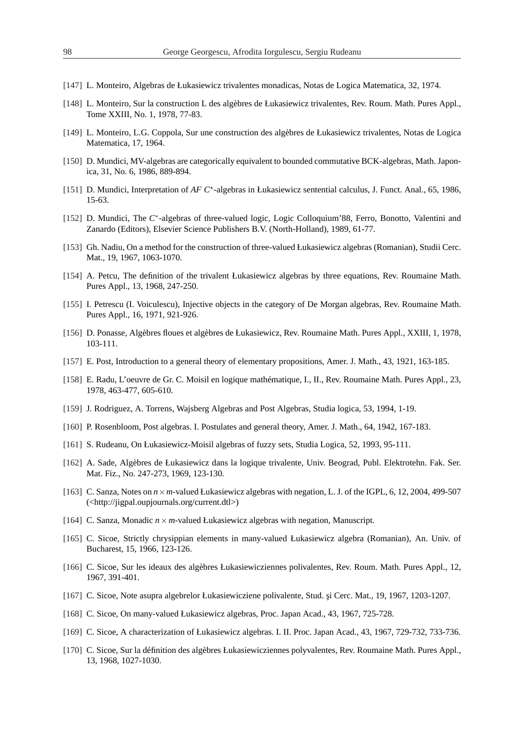- [147] L. Monteiro, Algebras de Łukasiewicz trivalentes monadicas, Notas de Logica Matematica, 32, 1974.
- [148] L. Monteiro, Sur la construction L des algèbres de Łukasiewicz trivalentes, Rev. Roum. Math. Pures Appl., Tome XXIII, No. 1, 1978, 77-83.
- [149] L. Monteiro, L.G. Coppola, Sur une construction des algèbres de Łukasiewicz trivalentes, Notas de Logica Matematica, 17, 1964.
- [150] D. Mundici, MV-algebras are categorically equivalent to bounded commutative BCK-algebras, Math. Japonica, 31, No. 6, 1986, 889-894.
- [151] D. Mundici, Interpretation of *AF C*<sup>\*</sup>-algebras in Łukasiewicz sentential calculus, J. Funct. Anal., 65, 1986, 15-63.
- [152] D. Mundici, The C<sup>\*</sup>-algebras of three-valued logic, Logic Colloquium'88, Ferro, Bonotto, Valentini and Zanardo (Editors), Elsevier Science Publishers B.V. (North-Holland), 1989, 61-77.
- [153] Gh. Nadiu, On a method for the construction of three-valued Łukasiewicz algebras (Romanian), Studii Cerc. Mat., 19, 1967, 1063-1070.
- [154] A. Petcu, The definition of the trivalent Łukasiewicz algebras by three equations, Rev. Roumaine Math. Pures Appl., 13, 1968, 247-250.
- [155] I. Petrescu (I. Voiculescu), Injective objects in the category of De Morgan algebras, Rev. Roumaine Math. Pures Appl., 16, 1971, 921-926.
- [156] D. Ponasse, Algèbres floues et algèbres de Łukasiewicz, Rev. Roumaine Math. Pures Appl., XXIII, 1, 1978, 103-111.
- [157] E. Post, Introduction to a general theory of elementary propositions, Amer. J. Math., 43, 1921, 163-185.
- [158] E. Radu, L'oeuvre de Gr. C. Moisil en logique mathématique, I., II., Rev. Roumaine Math. Pures Appl., 23, 1978, 463-477, 605-610.
- [159] J. Rodriguez, A. Torrens, Wajsberg Algebras and Post Algebras, Studia logica, 53, 1994, 1-19.
- [160] P. Rosenbloom, Post algebras. I. Postulates and general theory, Amer. J. Math., 64, 1942, 167-183.
- [161] S. Rudeanu, On Łukasiewicz-Moisil algebras of fuzzy sets, Studia Logica, 52, 1993, 95-111.
- [162] A. Sade, Algèbres de Łukasiewicz dans la logique trivalente, Univ. Beograd, Publ. Elektrotehn. Fak. Ser. Mat. Fiz., No. 247-273, 1969, 123-130.
- [163] C. Sanza, Notes on  $n \times m$ -valued Łukasiewicz algebras with negation, L. J. of the IGPL, 6, 12, 2004, 499-507 (<http://jigpal.oupjournals.org/current.dtl>)
- [164] C. Sanza, Monadic  $n \times m$ -valued Łukasiewicz algebras with negation, Manuscript.
- [165] C. Sicoe, Strictly chrysippian elements in many-valued Łukasiewicz algebra (Romanian), An. Univ. of Bucharest, 15, 1966, 123-126.
- [166] C. Sicoe, Sur les ideaux des algèbres Łukasiewicziennes polivalentes, Rev. Roum. Math. Pures Appl., 12, 1967, 391-401.
- [167] C. Sicoe, Note asupra algebrelor Łukasiewicziene polivalente, Stud. și Cerc. Mat., 19, 1967, 1203-1207.
- [168] C. Sicoe, On many-valued Łukasiewicz algebras, Proc. Japan Acad., 43, 1967, 725-728.
- [169] C. Sicoe, A characterization of Łukasiewicz algebras. I. II. Proc. Japan Acad., 43, 1967, 729-732, 733-736.
- [170] C. Sicoe, Sur la définition des algèbres Łukasiewicziennes polyvalentes, Rev. Roumaine Math. Pures Appl., 13, 1968, 1027-1030.